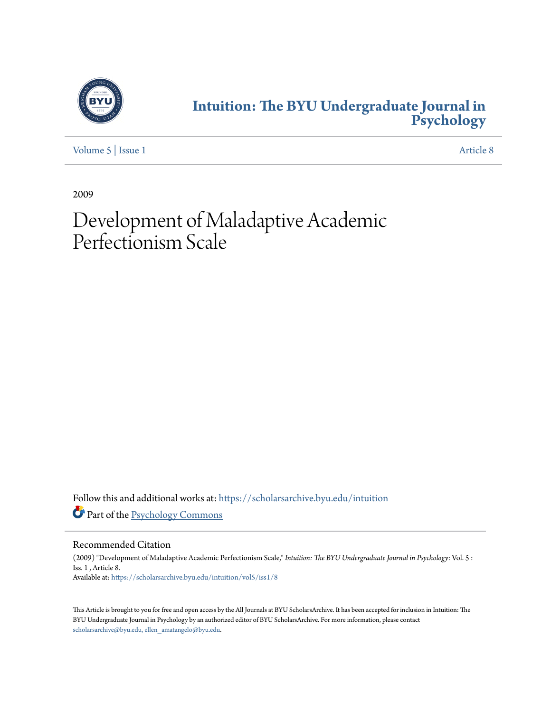

# **[Intuition: The BYU Undergraduate Journal in](https://scholarsarchive.byu.edu/intuition?utm_source=scholarsarchive.byu.edu%2Fintuition%2Fvol5%2Fiss1%2F8&utm_medium=PDF&utm_campaign=PDFCoverPages) [Psychology](https://scholarsarchive.byu.edu/intuition?utm_source=scholarsarchive.byu.edu%2Fintuition%2Fvol5%2Fiss1%2F8&utm_medium=PDF&utm_campaign=PDFCoverPages)**

[Volume 5](https://scholarsarchive.byu.edu/intuition/vol5?utm_source=scholarsarchive.byu.edu%2Fintuition%2Fvol5%2Fiss1%2F8&utm_medium=PDF&utm_campaign=PDFCoverPages) | [Issue 1](https://scholarsarchive.byu.edu/intuition/vol5/iss1?utm_source=scholarsarchive.byu.edu%2Fintuition%2Fvol5%2Fiss1%2F8&utm_medium=PDF&utm_campaign=PDFCoverPages) [Article 8](https://scholarsarchive.byu.edu/intuition/vol5/iss1/8?utm_source=scholarsarchive.byu.edu%2Fintuition%2Fvol5%2Fiss1%2F8&utm_medium=PDF&utm_campaign=PDFCoverPages)

2009

# Development of Maladaptive Academic Perfectionism Scale

Follow this and additional works at: [https://scholarsarchive.byu.edu/intuition](https://scholarsarchive.byu.edu/intuition?utm_source=scholarsarchive.byu.edu%2Fintuition%2Fvol5%2Fiss1%2F8&utm_medium=PDF&utm_campaign=PDFCoverPages) Part of the [Psychology Commons](http://network.bepress.com/hgg/discipline/404?utm_source=scholarsarchive.byu.edu%2Fintuition%2Fvol5%2Fiss1%2F8&utm_medium=PDF&utm_campaign=PDFCoverPages)

Recommended Citation

(2009) "Development of Maladaptive Academic Perfectionism Scale," *Intuition: The BYU Undergraduate Journal in Psychology*: Vol. 5 : Iss. 1 , Article 8. Available at: [https://scholarsarchive.byu.edu/intuition/vol5/iss1/8](https://scholarsarchive.byu.edu/intuition/vol5/iss1/8?utm_source=scholarsarchive.byu.edu%2Fintuition%2Fvol5%2Fiss1%2F8&utm_medium=PDF&utm_campaign=PDFCoverPages)

This Article is brought to you for free and open access by the All Journals at BYU ScholarsArchive. It has been accepted for inclusion in Intuition: The BYU Undergraduate Journal in Psychology by an authorized editor of BYU ScholarsArchive. For more information, please contact [scholarsarchive@byu.edu, ellen\\_amatangelo@byu.edu.](mailto:scholarsarchive@byu.edu,%20ellen_amatangelo@byu.edu)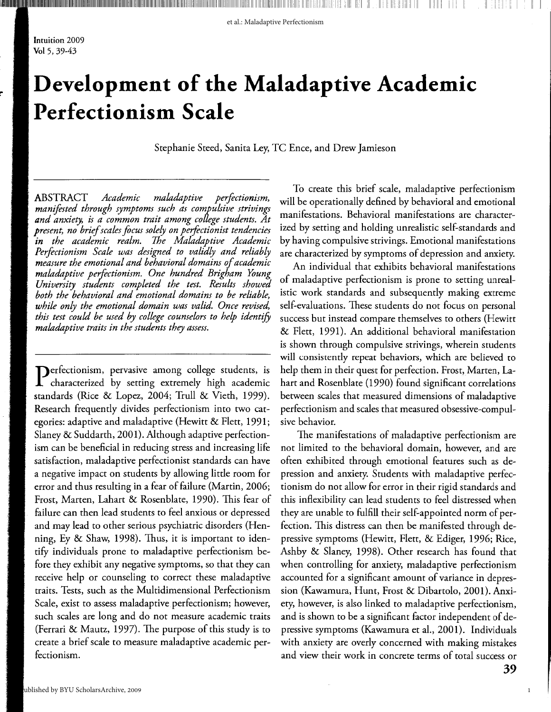**IN CONTRACTMENT CONTRACTMENT CONTRACTMENT CONTRACTMENT CONSUMER AND DESCRIPTIVES OF RESIDENTS AND LESS AND LES** 

Intuition 2009 Vol 5, 39-43

**l"** 

# **Development of the Maladaptive Academic Perfectionism Scale**

Stephanie Steed, Sanita Ley, TC Ence, and Drew Jamieson

ABSTRACT *Academic maladaptive perfectionism, manifested through symptoms such as compulsive strivings and anxiety, is a common trait among college students. At present, no brief scales focus solely on perfectionist tendencies in the academic realm. The Maladaptive Academic Perfectionism Scale was designed to validly and reliably measure the emotional and behavioral domains of academic maladaptive perfectionism. One hundred Brigham Young University students completed the test. Results showed both the behavioral and emotional domains to be reliable, while only the emotional domain was valid. Once revised, this test could be used by college counselors to help identify maladaptive traits in the students they assess.* 

**Perfectionism, pervasive among college students, is** characterized by setting extremely high academic standards (Rice & Lopez, 2004; Trull & Vieth, 1999). Research frequently divides perfectionism into two categories: adaptive and maladaptive (Hewitt & Flett, 1991; Slaney & Suddarth, 2001). Although adaptive perfectionism can be beneficial in reducing stress and increasing life satisfaction, maladaptive perfectionist standards can have a negative impact on students by allowing little room for error and thus resulting in a fear of failure (Martin, 2006; Frost, Marten, Lahart & Rosenblate, 1990). This fear of failure can then lead students to feel anxious or depressed and may lead to other serious psychiatric disorders (Henning, Ey & Shaw, 1998). Thus, it is important to identify individuals prone to maladaptive perfectionism before they exhibit any negative symptoms, so that they can receive help or counseling to correct these maladaptive traits. Tests, such as the Multidimensional Perfectionism Scale, exist to assess maladaptive perfectionism; however, such scales are long and do not measure academic traits (Ferrari & Mautz, 1997). The purpose of this study is to create a brief scale to measure maladaptive academic perfectionism.

To create this brief scale, maladaptive perfectionism will be operationally defined by behavioral and emotional manifestations. Behavioral manifestations are characterized by setting and holding unrealistic self-standards and by having compulsive strivings. Emotional manifestations are characterized by symptoms of depression and anxiety.

An individual that exhibits behavioral manifestations of maladaptive perfectionism is prone to setting unrealistic work standards and subsequently making extreme self-evaluations. These students do not focus on personal success but instead compare themselves to others (Hewitt & Flett, 1991). An additional behavioral manifestation is shown through compulsive strivings, wherein students will consistently repeat behaviors, which are believed to help them in their quest for perfection. Frost, Marten, Lahart and Rosenblate (1990) found significant correlations between scales that measured dimensions of maladaptive perfectionism and scales that measured obsessive-compulsive behavior.

The manifestations of maladaptive perfectionism are not limited to the behavioral domain, however, and are often exhibited through emotional features such as depression and anxiety. Students with maladaptive perfectionism do not allow for error in their rigid standards and this inflexibility can lead students to feel distressed when they are unable to fulfill their self-appointed norm of perfection. This distress can then be manifested through depressive symptoms (Hewitt, Flett, & Ediger, 1996; Rice, Ashby & Slaney, 1998). Other research has found that when controlling for anxiety, maladaptive perfectionism accounted for a significant amount of variance in depression (Kawamura, Hunt, Frost & Dibartolo, 2001). Anxiety, however, is also linked to maladaptive perfectionism, and is shown to be a significant factor independent of depressive symptoms (Kawamura et al., 2001). Individuals with anxiety are overly concerned with making mistakes and view their work in concrete terms of total success or

1

II II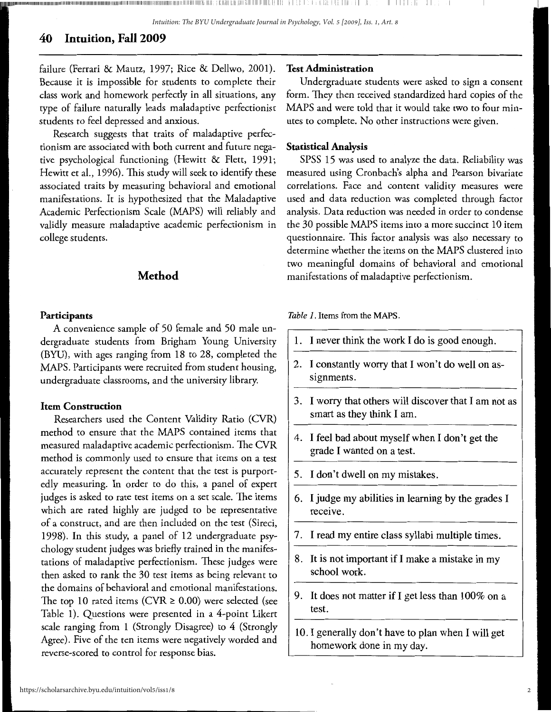11111111111111111111111111111111111111111111111111111111111111111111111111111111111111111111111111111111111111111111111111111111111111111111111111111111111111111111111111111111111111111111111111111111111111,11111 11:11,11111,1111,1111:111111111111111.1, Ill: I· I. I i i i,i ! I, llii ill I: II 1111 I, .I I

## **40 Intuition, Fall 2009**

failure (Ferrari & Mautz, 1997; Rice & Dellwo, 2001). Because it is impossible for students to complete their class work and homework perfectly in all situations, any type of failure naturally leads maladaptive perfectionist students to feel depressed and anxious.

Research suggests that traits of maladaptive perfectionism are associated with both current and future negative psychological functioning (Hewitt & Flett, 1991; Hewitt et al., 1996). This study will seek to identify these associated traits by measuring behavioral and emotional manifestations. It is hypothesized that the Maladaptive Academic Perfectionism Scale (MAPS) will reliably and validly measure maladaptive academic perfectionism in college students.

#### **Method**

#### **Participants**

A convenience sample of 50 female and 50 male undergraduate students from Brigham Young University (BYU), with ages ranging from 18 to 28, completed the MAPS. Participants were recruited from student housing, undergraduate classrooms, and the university library.

#### **Item Construction**

Researchers used the Content Validity Ratio (CVR) method to ensure that the MAPS contained items that measured maladaptive academic perfectionism. The CVR method is commonly used to ensure that items on a test accurately represent the content that the test is purportedly measuring. In order to do this, a panel of expert judges is asked to rate test items on a set scale. The items which are rated highly are judged to be representative of a construct, and are then included on the test (Sireci, 1998). In this study, a panel of 12 undergraduate psychology student judges was briefly trained in the manifestations of maladaptive perfectionism. These judges were then asked to rank the 30 test items as being relevant to the domains of behavioral and emotional manifestations. The top 10 rated items (CVR  $\geq$  0.00) were selected (see Table 1). Questions were presented in a 4-point Likert scale ranging from 1 (Strongly Disagree) to 4 (Strongly Agree). Five of the ten items were negatively worded and reverse-scored to control for response bias.

#### **Test Administration**

Undergraduate students were asked to sign a consent form. They then received standardized hard copies of the MAPS and were told that it would take two to four minutes to complete. No other instructions were given.

#### **Statistical Analysis**

SPSS 15 was used to analyze the data. Reliability was measured using Cronbach's alpha and Pearson bivariate correlations. Face and content validity measures were used and data reduction was completed through factor analysis. Data reduction was needed in order to condense the 30 possible MAPS items into a more succinct 10 item questionnaire. This factor analysis was also necessary to determine whether the items on the MAPS clustered into two meaningful domains of behavioral and emotional manifestations of maladaptive perfectionism.

*Table 1.* Items from the **MAPS.** 

- 1. I never think the work I do is good enough.
- 2. I constantly worry that I won't do well on assignments.
- 3. I worry that others will discover that I am not as smart as they think I am.
- 4. I feel bad about myself when I don't get the grade I wanted on a test.
- 5. I don't dwell on my mistakes.
- 6. I judge my abilities in learning by the grades I receive.
- 7. I read my entire class syllabi multiple times.
- 8. It is not important if I make a mistake in my school work.
- 9. It does not matter if I get less than 100% on a test.
- 10. I generally don't have to plan when I will get homework done in my day.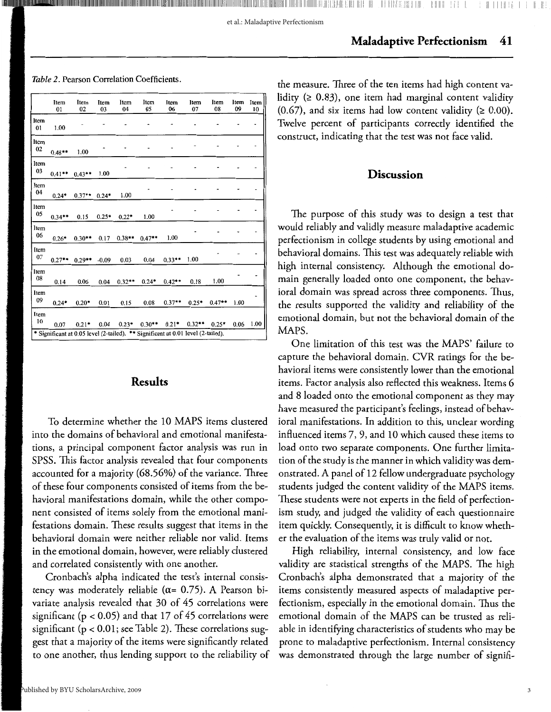et al.: Maladaptive Perfectionism

Table 2. Pearson Correlation Coefficients.

|            | Item<br>01 | Item<br>02 | Item<br>03 | Item<br>04                                                                                  | Item<br>05 | Item<br>06 | Item<br>07 | Item<br>08 | Item<br>09 | Item<br>10 |
|------------|------------|------------|------------|---------------------------------------------------------------------------------------------|------------|------------|------------|------------|------------|------------|
| Item<br>01 | 1.00       |            |            |                                                                                             |            |            |            |            |            |            |
| Item<br>02 | $0.48**$   | 1.00       |            |                                                                                             |            |            |            |            |            |            |
| Item<br>03 | $0.41**$   | $0.43**$   | 1.00       |                                                                                             |            |            |            |            |            |            |
| Item<br>04 | $0.24*$    | $0.37**$   | $0.24*$    | 1.00                                                                                        |            |            |            |            |            |            |
| Item<br>05 | $0.34**$   | 0.15       | $0.25*$    | $0.22*$                                                                                     | 1.00       |            |            |            |            |            |
| Item<br>06 | $0.26*$    | $0.30**$   | 0.17       | $0.38**$                                                                                    | $0.47**$   | 1.00       |            |            |            |            |
| Item<br>07 | $0.27**$   | $0.29**$   | $-0.09$    | 0.03                                                                                        | 0.04       | $0.33**$   | 1.00       |            |            |            |
| Item<br>08 | 0.14       | 0.06       | 0.04       | $0.32**$                                                                                    | $0.24*$    | $0.42**$   | 0.18       | 1.00       |            |            |
| Item<br>09 | $0.24*$    | $0.20*$    | 0.01       | 0.15                                                                                        | 0.08       | $0.37**$   | $0.25*$    | $0.47**$   | 1.00       |            |
| Item<br>10 | 0.07       | $0.21*$    | 0.04       | $0.23*$<br>* Significant at 0.05 level (2-tailed). ** Significant at 0.01 level (2-tailed). | $0.30**$   | $0.21*$    | $0.32**$   | $0.25*$    | 0.06       | 1.00       |

#### **Results**

To determine whether the 10 MAPS items clustered into the domains of behavioral and emotional manifestations, a principal component factor analysis was run in SPSS. This factor analysis revealed that four components accounted for a majority (68.56%) of the variance. Three of these four components consisted of items from the behavioral manifestations domain, while the other component consisted of items solely from the emotional manifestations domain. These results suggest that items in the behavioral domain were neither reliable nor valid. Items in the emotional domain, however, were reliably clustered and correlated consistently with one another.

Cronbach's alpha indicated the test's internal consistency was moderately reliable ( $\alpha$ = 0.75). A Pearson bivariate analysis revealed that 30 of 45 correlations were significant (p < 0.05) and that 17 of 45 correlations were significant (p < 0.01; see Table 2). These correlations suggest that a majority of the items were significantly related to one another, thus lending support to the reliability of

the measure. Three of the ten items had high content validity ( $\geq 0.83$ ), one item had marginal content validity  $(0.67)$ , and six items had low content validity ( $\geq 0.00$ ). Twelve percent of participants correctly identified the construct, indicating that the test was not face valid.

#### **Discussion**

The purpose of this study was to design a test that would reliably and validly measure maladaptive academic perfectionism in college students by using emotional and behavioral domains. This test was adequately reliable with high internal consistency. Although the emotional domain generally loaded onto one component, the behavioral domain was spread across three components. Thus, the results supported the validity and reliability of the emotional domain, but not the behavioral domain of the MAPS.

One limitation of this test was the MAPS' failure to capture the behavioral domain. CVR ratings for the behavioral items were consistently lower than the emotional items. Factor analysis also reflected this weakness. Items 6 and 8 loaded onto the emotional component as they may have measured the participant's feelings, instead of behavioral manifestations. In addition to this, unclear wording influenced items 7, 9, and 10 which caused these items to load onto two separate components. One further limitation of the study is the manner in which validity was demonstrated. A panel of 12 fellow undergraduate psychology students judged the content validity of the MAPS items. These students were not experts in the field of perfectionism study, and judged the validity of each questionnaire item quickly. Consequently, it is difficult to know whether the evaluation of the items was truly valid or not.

High reliability, internal consistency, and low face validity are statistical strengths of the MAPS. The high Cronbach's alpha demonstrated that a majority of the items consistently measured aspects of maladaptive perfectionism, especially in the emotional domain. Thus the emotional domain of the MAPS can be trusted as reliable in identifying characteristics of students who may be prone to maladaptive perfectionism. Internal consistency was demonstrated through the large number of signifi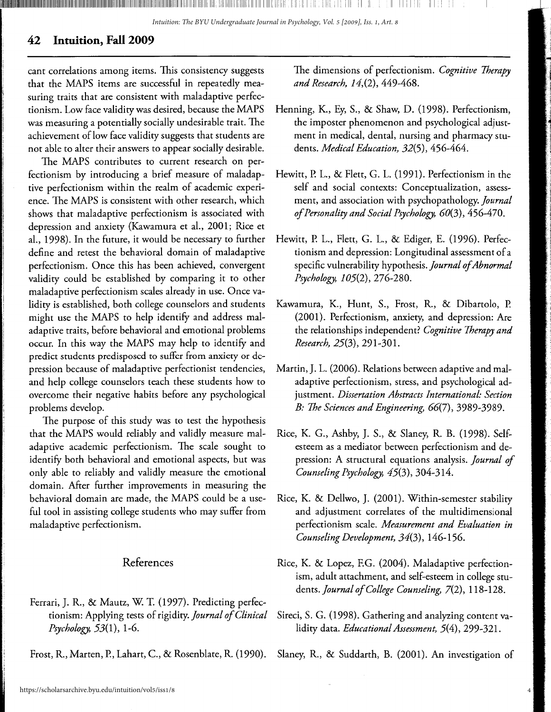*Intuition: The BYU Undergraduate Journal in Psychology, Vol. 5 [2009], Iss. 1, Art. 8*

### **42 Intuition, Fall 2009**

cant correlations among items. This consistency suggests that the MAPS items are successful in repeatedly measuring traits that are consistent with maladaptive perfectionism. Low face validity was desired, because the MAPS was measuring a potentially socially undesirable trait. The achievement of low face validity suggests that students are not able to alter their answers to appear socially desirable.

The MAPS contributes to current research on perfectionism by introducing a brief measure of maladaptive perfectionism within the realm of academic experience. The MAPS is consistent with other research, which shows that maladaptive perfectionism is associated with depression and anxiety (Kawamura et al., 2001; Rice et al., 1998). In the future, it would be necessary to further define and retest the behavioral domain of maladaptive perfectionism. Once this has been achieved, convergent validity could be established by comparing it to other maladaptive perfectionism scales already in use. Once validity is established, both college counselors and students might use the MAPS to help identify and address maladaptive traits, before behavioral and emotional problems occur. In this way the MAPS may help to identify and predict students predisposed to suffer from anxiety or depression because of maladaptive perfectionist tendencies, and help college counselors teach these students how to overcome their negative habits before any psychological problems develop.

The purpose of this study was to test the hypothesis that the MAPS would reliably and validly measure maladaptive academic perfectionism. The scale sought to identify both behavioral and emotional aspects, but was only able to reliably and validly measure the emotional domain. After further improvements in measuring the behavioral domain are made, the MAPS could be a useful tool in assisting college students who may suffer from maladaptive perfectionism.

### References

- Ferrari, J. R., & Mautz, W. T. (1997). Predicting perfectionism: Applying tests of rigidity. *Journal of Clinical Psychology,* 53(1), 1-6.
- Frost, R., Marten, P., Lahart, C., & Rosenblate, R. (1990).

The dimensions of perfectionism. *Cognitive Therapy and Research, 14,(2),* 449-468.

- Henning, K., Ey, S., & Shaw, D. (1998). Perfectionism, the imposter phenomenon and psychological adjustment in medical, dental, nursing and pharmacy students. *Medical Education,* 32(5), 456-464.
- Hewitt, P. L., & Flett, G. L. (1991). Perfectionism in the self and social contexts: Conceptualization, assessment, and association with psychopathology. *journal of Personality and Social Psychology, 60(3),* 456-470.
- Hewitt, P. L., Flett, G. L., & Ediger, E. (1996). Perfectionism and depression: Longitudinal assessment of a specific vulnerability hypothesis. *journal of Abnormal Psychology, 105(2),* 276-280.
- Kawamura, K., Hunt, S., Frost, R., & Dibartolo, P. (2001). Perfectionism, anxiety, and depression: Are the relationships independent? *Cognitive Therapy and Research,* 25(3), 291-301.
- Martin, J. L. (2006). Relations between adaptive and maladaptive perfectionism, stress, and psychological adjustment. *Dissertation Abstracts International: Section B: The Sciences and Engineering, 66(7),* 3989-3989.
- Rice, K. G., Ashby, J. S., & Slaney, R. B. (1998). Selfesteem as a mediator between perfectionism and depression: A structural equations analysis. *journal of Counseling Psychology,* 45(3), 304-314.
- Rice, K. & Dellwo, J. (2001). Within-semester stability and adjustment correlates of the multidimensional perfectionism scale. *Measurement and Evaluation in Counseling Development,* 34(3), 146-156.
- Rice, K. & Lopez, F.G. (2004). Maladaptive perfectionism, adult attachment, and self-esteem in college students. *journal of College Counseling,* 7(2), 118-128.
- Sireci, S. G. (1998). Gathering and analyzing content validity data. *Educational Assessment,* 5(4), 299-321.
- Slaney, R., & Suddarth, B. (2001). An investigation of

4